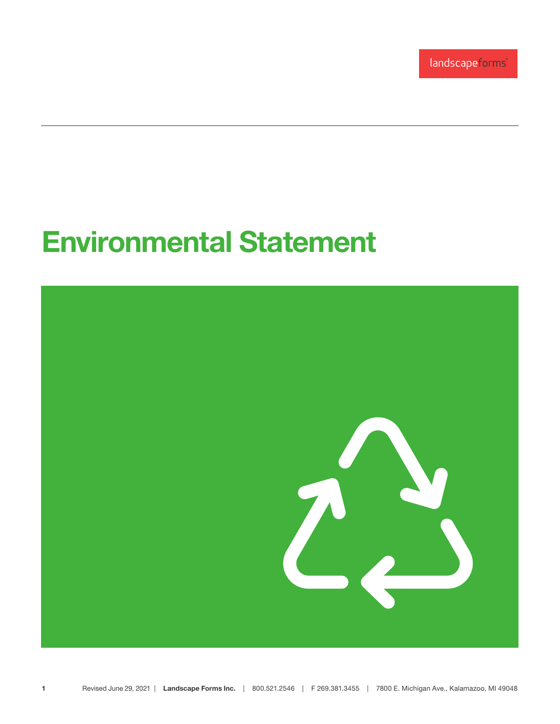landscapeforms®

## Environmental Statement

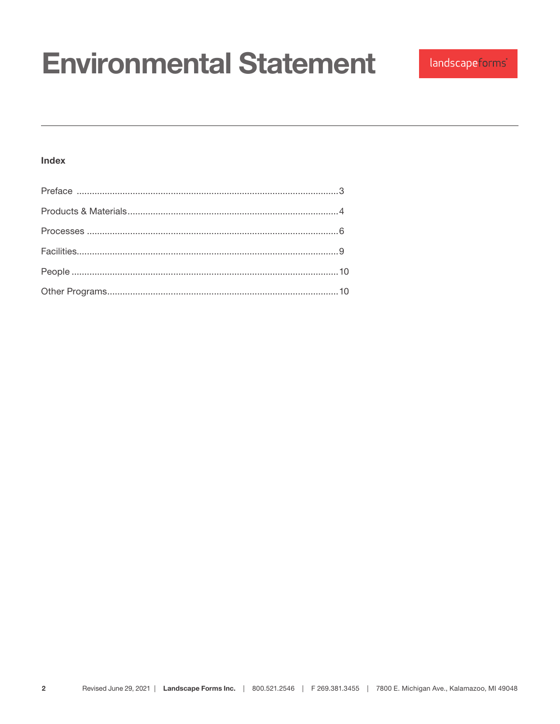## **Index**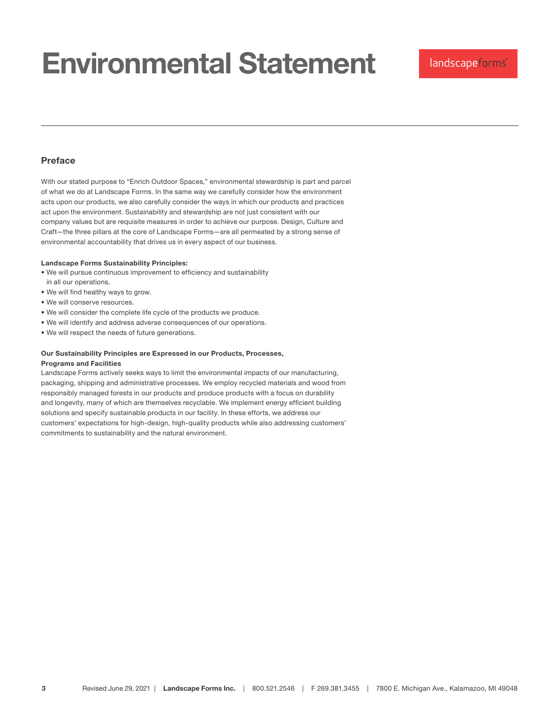### Preface

With our stated purpose to "Enrich Outdoor Spaces," environmental stewardship is part and parcel of what we do at Landscape Forms. In the same way we carefully consider how the environment acts upon our products, we also carefully consider the ways in which our products and practices act upon the environment. Sustainability and stewardship are not just consistent with our company values but are requisite measures in order to achieve our purpose. Design, Culture and Craft—the three pillars at the core of Landscape Forms—are all permeated by a strong sense of environmental accountability that drives us in every aspect of our business.

#### Landscape Forms Sustainability Principles:

- We will pursue continuous improvement to efficiency and sustainability in all our operations.
- We will find healthy ways to grow.
- We will conserve resources.
- We will consider the complete life cycle of the products we produce.
- We will identify and address adverse consequences of our operations.
- We will respect the needs of future generations.

## Our Sustainability Principles are Expressed in our Products, Processes,

### Programs and Facilities

Landscape Forms actively seeks ways to limit the environmental impacts of our manufacturing, packaging, shipping and administrative processes. We employ recycled materials and wood from responsibly managed forests in our products and produce products with a focus on durability and longevity, many of which are themselves recyclable. We implement energy efficient building solutions and specify sustainable products in our facility. In these efforts, we address our customers' expectations for high-design, high-quality products while also addressing customers' commitments to sustainability and the natural environment.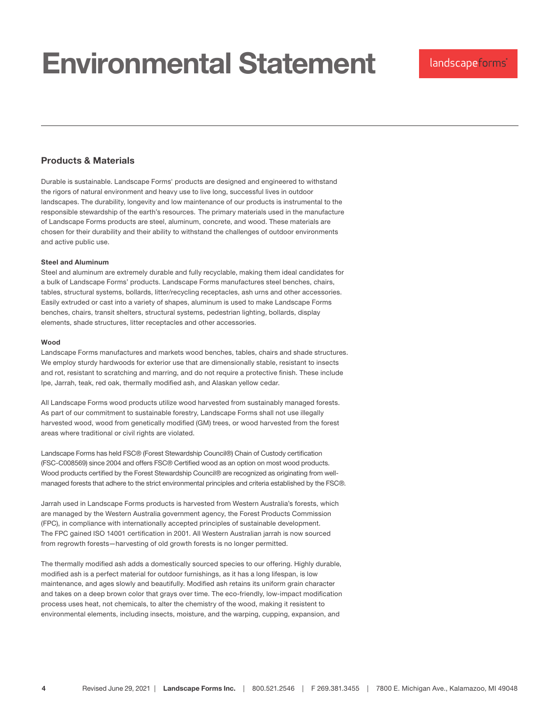## Products & Materials

Durable is sustainable. Landscape Forms' products are designed and engineered to withstand the rigors of natural environment and heavy use to live long, successful lives in outdoor landscapes. The durability, longevity and low maintenance of our products is instrumental to the responsible stewardship of the earth's resources. The primary materials used in the manufacture of Landscape Forms products are steel, aluminum, concrete, and wood. These materials are chosen for their durability and their ability to withstand the challenges of outdoor environments and active public use.

#### Steel and Aluminum

Steel and aluminum are extremely durable and fully recyclable, making them ideal candidates for a bulk of Landscape Forms' products. Landscape Forms manufactures steel benches, chairs, tables, structural systems, bollards, litter/recycling receptacles, ash urns and other accessories. Easily extruded or cast into a variety of shapes, aluminum is used to make Landscape Forms benches, chairs, transit shelters, structural systems, pedestrian lighting, bollards, display elements, shade structures, litter receptacles and other accessories.

#### Wood

Landscape Forms manufactures and markets wood benches, tables, chairs and shade structures. We employ sturdy hardwoods for exterior use that are dimensionally stable, resistant to insects and rot, resistant to scratching and marring, and do not require a protective finish. These include Ipe, Jarrah, teak, red oak, thermally modified ash, and Alaskan yellow cedar.

All Landscape Forms wood products utilize wood harvested from sustainably managed forests. As part of our commitment to sustainable forestry, Landscape Forms shall not use illegally harvested wood, wood from genetically modified (GM) trees, or wood harvested from the forest areas where traditional or civil rights are violated.

Landscape Forms has held FSC® (Forest Stewardship Council®) Chain of Custody certification (FSC-C008569) since 2004 and offers FSC® Certified wood as an option on most wood products. Wood products certified by the Forest Stewardship Council® are recognized as originating from wellmanaged forests that adhere to the strict environmental principles and criteria established by the FSC®.

Jarrah used in Landscape Forms products is harvested from Western Australia's forests, which are managed by the Western Australia government agency, the Forest Products Commission (FPC), in compliance with internationally accepted principles of sustainable development. The FPC gained ISO 14001 certification in 2001. All Western Australian jarrah is now sourced from regrowth forests—harvesting of old growth forests is no longer permitted.

The thermally modified ash adds a domestically sourced species to our offering. Highly durable, modified ash is a perfect material for outdoor furnishings, as it has a long lifespan, is low maintenance, and ages slowly and beautifully. Modified ash retains its uniform grain character and takes on a deep brown color that grays over time. The eco-friendly, low-impact modification process uses heat, not chemicals, to alter the chemistry of the wood, making it resistent to environmental elements, including insects, moisture, and the warping, cupping, expansion, and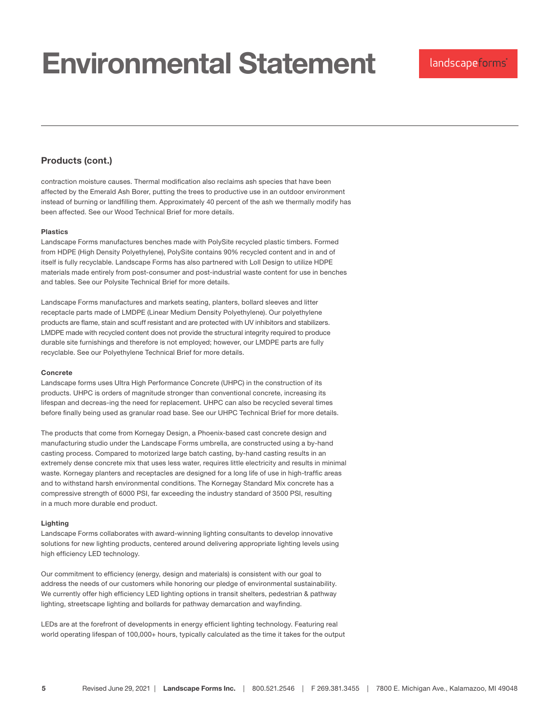## Products (cont.)

contraction moisture causes. Thermal modification also reclaims ash species that have been affected by the Emerald Ash Borer, putting the trees to productive use in an outdoor environment instead of burning or landfilling them. Approximately 40 percent of the ash we thermally modify has been affected. See our Wood Technical Brief for more details.

#### Plastics

Landscape Forms manufactures benches made with PolySite recycled plastic timbers. Formed from HDPE (High Density Polyethylene), PolySite contains 90% recycled content and in and of itself is fully recyclable. Landscape Forms has also partnered with Loll Design to utilize HDPE materials made entirely from post-consumer and post-industrial waste content for use in benches and tables. See our Polysite Technical Brief for more details.

Landscape Forms manufactures and markets seating, planters, bollard sleeves and litter receptacle parts made of LMDPE (Linear Medium Density Polyethylene). Our polyethylene products are flame, stain and scuff resistant and are protected with UV inhibitors and stabilizers. LMDPE made with recycled content does not provide the structural integrity required to produce durable site furnishings and therefore is not employed; however, our LMDPE parts are fully recyclable. See our Polyethylene Technical Brief for more details.

#### Concrete

Landscape forms uses Ultra High Performance Concrete (UHPC) in the construction of its products. UHPC is orders of magnitude stronger than conventional concrete, increasing its lifespan and decreas-ing the need for replacement. UHPC can also be recycled several times before finally being used as granular road base. See our UHPC Technical Brief for more details.

The products that come from Kornegay Design, a Phoenix-based cast concrete design and manufacturing studio under the Landscape Forms umbrella, are constructed using a by-hand casting process. Compared to motorized large batch casting, by-hand casting results in an extremely dense concrete mix that uses less water, requires little electricity and results in minimal waste. Kornegay planters and receptacles are designed for a long life of use in high-traffic areas and to withstand harsh environmental conditions. The Kornegay Standard Mix concrete has a compressive strength of 6000 PSI, far exceeding the industry standard of 3500 PSI, resulting in a much more durable end product.

#### Lighting

Landscape Forms collaborates with award-winning lighting consultants to develop innovative solutions for new lighting products, centered around delivering appropriate lighting levels using high efficiency LED technology.

Our commitment to efficiency (energy, design and materials) is consistent with our goal to address the needs of our customers while honoring our pledge of environmental sustainability. We currently offer high efficiency LED lighting options in transit shelters, pedestrian & pathway lighting, streetscape lighting and bollards for pathway demarcation and wayfinding.

LEDs are at the forefront of developments in energy efficient lighting technology. Featuring real world operating lifespan of 100,000+ hours, typically calculated as the time it takes for the output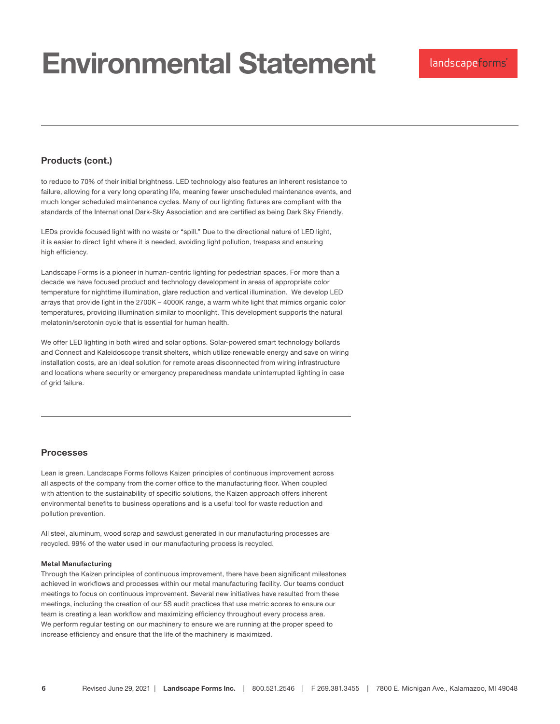## Products (cont.)

to reduce to 70% of their initial brightness. LED technology also features an inherent resistance to failure, allowing for a very long operating life, meaning fewer unscheduled maintenance events, and much longer scheduled maintenance cycles. Many of our lighting fixtures are compliant with the standards of the International Dark-Sky Association and are certified as being Dark Sky Friendly.

LEDs provide focused light with no waste or "spill." Due to the directional nature of LED light, it is easier to direct light where it is needed, avoiding light pollution, trespass and ensuring high efficiency.

Landscape Forms is a pioneer in human-centric lighting for pedestrian spaces. For more than a decade we have focused product and technology development in areas of appropriate color temperature for nighttime illumination, glare reduction and vertical illumination. We develop LED arrays that provide light in the 2700K – 4000K range, a warm white light that mimics organic color temperatures, providing illumination similar to moonlight. This development supports the natural melatonin/serotonin cycle that is essential for human health.

We offer LED lighting in both wired and solar options. Solar-powered smart technology bollards and Connect and Kaleidoscope transit shelters, which utilize renewable energy and save on wiring installation costs, are an ideal solution for remote areas disconnected from wiring infrastructure and locations where security or emergency preparedness mandate uninterrupted lighting in case of grid failure.

### Processes

Lean is green. Landscape Forms follows Kaizen principles of continuous improvement across all aspects of the company from the corner office to the manufacturing floor. When coupled with attention to the sustainability of specific solutions, the Kaizen approach offers inherent environmental benefits to business operations and is a useful tool for waste reduction and pollution prevention.

All steel, aluminum, wood scrap and sawdust generated in our manufacturing processes are recycled. 99% of the water used in our manufacturing process is recycled.

#### Metal Manufacturing

Through the Kaizen principles of continuous improvement, there have been significant milestones achieved in workflows and processes within our metal manufacturing facility. Our teams conduct meetings to focus on continuous improvement. Several new initiatives have resulted from these meetings, including the creation of our 5S audit practices that use metric scores to ensure our team is creating a lean workflow and maximizing efficiency throughout every process area. We perform regular testing on our machinery to ensure we are running at the proper speed to increase efficiency and ensure that the life of the machinery is maximized.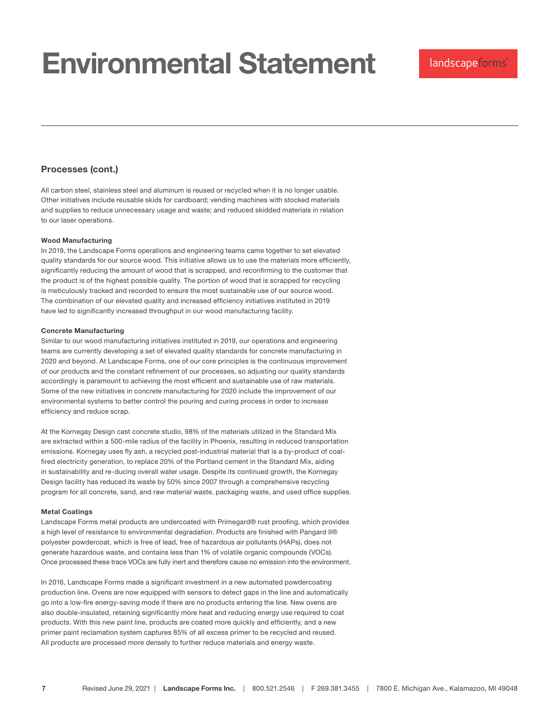### Processes (cont.)

All carbon steel, stainless steel and aluminum is reused or recycled when it is no longer usable. Other initiatives include reusable skids for cardboard; vending machines with stocked materials and supplies to reduce unnecessary usage and waste; and reduced skidded materials in relation to our laser operations.

#### Wood Manufacturing

In 2019, the Landscape Forms operations and engineering teams came together to set elevated quality standards for our source wood. This initiative allows us to use the materials more efficiently, significantly reducing the amount of wood that is scrapped, and reconfirming to the customer that the product is of the highest possible quality. The portion of wood that is scrapped for recycling is meticulously tracked and recorded to ensure the most sustainable use of our source wood. The combination of our elevated quality and increased efficiency initiatives instituted in 2019 have led to significantly increased throughput in our wood manufacturing facility.

#### Concrete Manufacturing

Similar to our wood manufacturing initiatives instituted in 2019, our operations and engineering teams are currently developing a set of elevated quality standards for concrete manufacturing in 2020 and beyond. At Landscape Forms, one of our core principles is the continuous improvement of our products and the constant refinement of our processes, so adjusting our quality standards accordingly is paramount to achieving the most efficient and sustainable use of raw materials. Some of the new initiatives in concrete manufacturing for 2020 include the improvement of our environmental systems to better control the pouring and curing process in order to increase efficiency and reduce scrap.

At the Kornegay Design cast concrete studio, 98% of the materials utilized in the Standard Mix are extracted within a 500-mile radius of the facility in Phoenix, resulting in reduced transportation emissions. Kornegay uses fly ash, a recycled post-industrial material that is a by-product of coalfired electricity generation, to replace 20% of the Portland cement in the Standard Mix, aiding in sustainability and re-ducing overall water usage. Despite its continued growth, the Kornegay Design facility has reduced its waste by 50% since 2007 through a comprehensive recycling program for all concrete, sand, and raw material waste, packaging waste, and used office supplies.

#### Metal Coatings

Landscape Forms metal products are undercoated with Primegard® rust proofing, which provides a high level of resistance to environmental degradation. Products are finished with Pangard II® polyester powdercoat, which is free of lead, free of hazardous air pollutants (HAPs), does not generate hazardous waste, and contains less than 1% of volatile organic compounds (VOCs). Once processed these trace VOCs are fully inert and therefore cause no emission into the environment.

In 2016, Landscape Forms made a significant investment in a new automated powdercoating production line. Ovens are now equipped with sensors to detect gaps in the line and automatically go into a low-fire energy-saving mode if there are no products entering the line. New ovens are also double-insulated, retaining significantly more heat and reducing energy use required to coat products. With this new paint line, products are coated more quickly and efficiently, and a new primer paint reclamation system captures 85% of all excess primer to be recycled and reused. All products are processed more densely to further reduce materials and energy waste.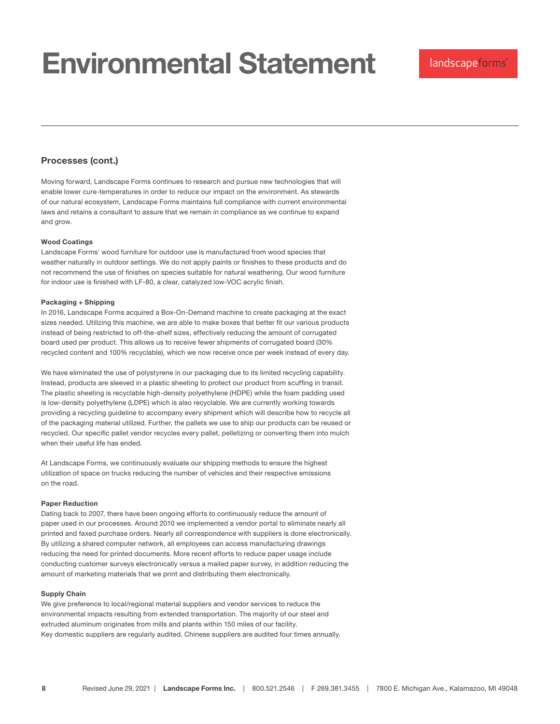### Processes (cont.)

Moving forward, Landscape Forms continues to research and pursue new technologies that will enable lower cure-temperatures in order to reduce our impact on the environment. As stewards of our natural ecosystem, Landscape Forms maintains full compliance with current environmental laws and retains a consultant to assure that we remain in compliance as we continue to expand and grow.

#### Wood Coatings

Landscape Forms' wood furniture for outdoor use is manufactured from wood species that weather naturally in outdoor settings. We do not apply paints or finishes to these products and do not recommend the use of finishes on species suitable for natural weathering. Our wood furniture for indoor use is finished with LF-80, a clear, catalyzed low-VOC acrylic finish.

#### Packaging + Shipping

In 2016, Landscape Forms acquired a Box-On-Demand machine to create packaging at the exact sizes needed. Utilizing this machine, we are able to make boxes that better fit our various products instead of being restricted to off-the-shelf sizes, effectively reducing the amount of corrugated board used per product. This allows us to receive fewer shipments of corrugated board (30% recycled content and 100% recyclable), which we now receive once per week instead of every day.

We have eliminated the use of polystyrene in our packaging due to its limited recycling capability. Instead, products are sleeved in a plastic sheeting to protect our product from scuffing in transit. The plastic sheeting is recyclable high-density polyethylene (HDPE) while the foam padding used is low-density polyethylene (LDPE) which is also recyclable. We are currently working towards providing a recycling guideline to accompany every shipment which will describe how to recycle all of the packaging material utilized. Further, the pallets we use to ship our products can be reused or recycled. Our specific pallet vendor recycles every pallet, pelletizing or converting them into mulch when their useful life has ended.

At Landscape Forms, we continuously evaluate our shipping methods to ensure the highest utilization of space on trucks reducing the number of vehicles and their respective emissions on the road.

#### Paper Reduction

Dating back to 2007, there have been ongoing efforts to continuously reduce the amount of paper used in our processes. Around 2010 we implemented a vendor portal to eliminate nearly all printed and faxed purchase orders. Nearly all correspondence with suppliers is done electronically. By utilizing a shared computer network, all employees can access manufacturing drawings reducing the need for printed documents. More recent efforts to reduce paper usage include conducting customer surveys electronically versus a mailed paper survey, in addition reducing the amount of marketing materials that we print and distributing them electronically.

#### Supply Chain

We give preference to local/regional material suppliers and vendor services to reduce the environmental impacts resulting from extended transportation. The majority of our steel and extruded aluminum originates from mills and plants within 150 miles of our facility. Key domestic suppliers are regularly audited. Chinese suppliers are audited four times annually.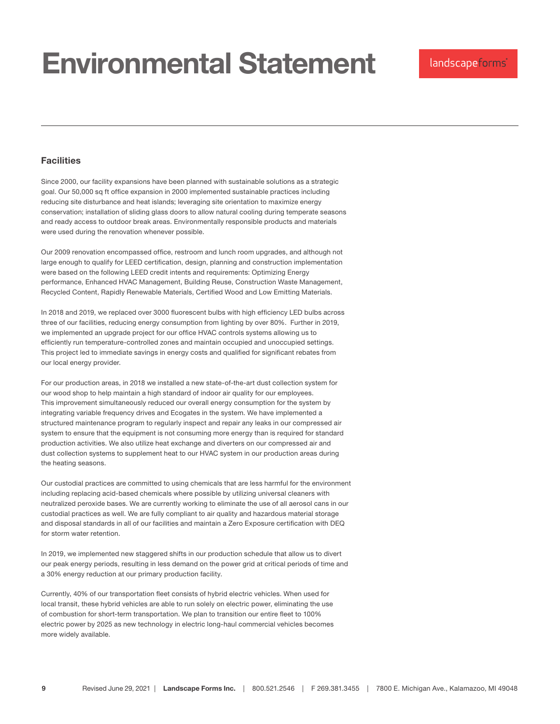### Facilities

Since 2000, our facility expansions have been planned with sustainable solutions as a strategic goal. Our 50,000 sq ft office expansion in 2000 implemented sustainable practices including reducing site disturbance and heat islands; leveraging site orientation to maximize energy conservation; installation of sliding glass doors to allow natural cooling during temperate seasons and ready access to outdoor break areas. Environmentally responsible products and materials were used during the renovation whenever possible.

Our 2009 renovation encompassed office, restroom and lunch room upgrades, and although not large enough to qualify for LEED certification, design, planning and construction implementation were based on the following LEED credit intents and requirements: Optimizing Energy performance, Enhanced HVAC Management, Building Reuse, Construction Waste Management, Recycled Content, Rapidly Renewable Materials, Certified Wood and Low Emitting Materials.

In 2018 and 2019, we replaced over 3000 fluorescent bulbs with high efficiency LED bulbs across three of our facilities, reducing energy consumption from lighting by over 80%. Further in 2019, we implemented an upgrade project for our office HVAC controls systems allowing us to efficiently run temperature-controlled zones and maintain occupied and unoccupied settings. This project led to immediate savings in energy costs and qualified for significant rebates from our local energy provider.

For our production areas, in 2018 we installed a new state-of-the-art dust collection system for our wood shop to help maintain a high standard of indoor air quality for our employees. This improvement simultaneously reduced our overall energy consumption for the system by integrating variable frequency drives and Ecogates in the system. We have implemented a structured maintenance program to regularly inspect and repair any leaks in our compressed air system to ensure that the equipment is not consuming more energy than is required for standard production activities. We also utilize heat exchange and diverters on our compressed air and dust collection systems to supplement heat to our HVAC system in our production areas during the heating seasons.

Our custodial practices are committed to using chemicals that are less harmful for the environment including replacing acid-based chemicals where possible by utilizing universal cleaners with neutralized peroxide bases. We are currently working to eliminate the use of all aerosol cans in our custodial practices as well. We are fully compliant to air quality and hazardous material storage and disposal standards in all of our facilities and maintain a Zero Exposure certification with DEQ for storm water retention.

In 2019, we implemented new staggered shifts in our production schedule that allow us to divert our peak energy periods, resulting in less demand on the power grid at critical periods of time and a 30% energy reduction at our primary production facility.

Currently, 40% of our transportation fleet consists of hybrid electric vehicles. When used for local transit, these hybrid vehicles are able to run solely on electric power, eliminating the use of combustion for short-term transportation. We plan to transition our entire fleet to 100% electric power by 2025 as new technology in electric long-haul commercial vehicles becomes more widely available.